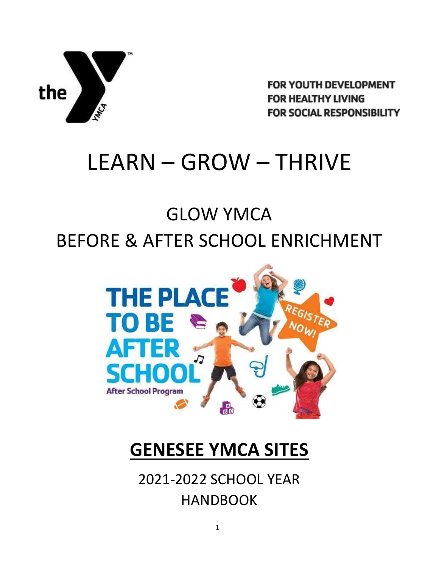

FOR YOUTH DEVELOPMENT **FOR HEALTHY LIVING FOR SOCIAL RESPONSIBILITY** 

# LEARN – GROW – THRIVE

# GLOW YMCA BEFORE & AFTER SCHOOL ENRICHMENT



## **GENESEE YMCA SITES**

2021-2022 SCHOOL YEAR HANDBOOK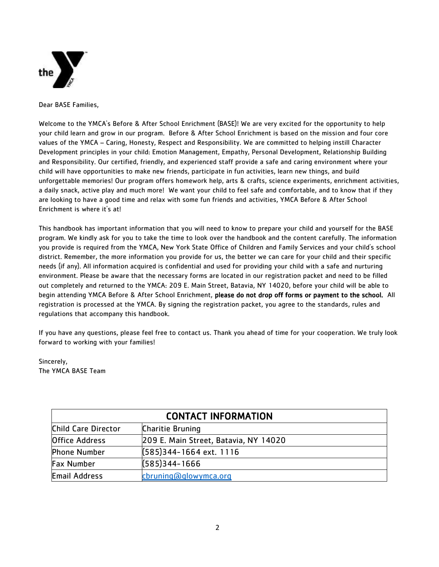

Dear BASE Families,

Welcome to the YMCA's Before & After School Enrichment (BASE)! We are very excited for the opportunity to help your child learn and grow in our program. Before & After School Enrichment is based on the mission and four core values of the YMCA – Caring, Honesty, Respect and Responsibility. We are committed to helping instill Character Development principles in your child: Emotion Management, Empathy, Personal Development, Relationship Building and Responsibility. Our certified, friendly, and experienced staff provide a safe and caring environment where your child will have opportunities to make new friends, participate in fun activities, learn new things, and build unforgettable memories! Our program offers homework help, arts & crafts, science experiments, enrichment activities, a daily snack, active play and much more! We want your child to feel safe and comfortable, and to know that if they are looking to have a good time and relax with some fun friends and activities, YMCA Before & After School Enrichment is where it's at!

This handbook has important information that you will need to know to prepare your child and yourself for the BASE program. We kindly ask for you to take the time to look over the handbook and the content carefully. The information you provide is required from the YMCA, New York State Office of Children and Family Services and your child's school district. Remember, the more information you provide for us, the better we can care for your child and their specific needs (if any). All information acquired is confidential and used for providing your child with a safe and nurturing environment. Please be aware that the necessary forms are located in our registration packet and need to be filled out completely and returned to the YMCA: 209 E. Main Street, Batavia, NY 14020, before your child will be able to begin attending YMCA Before & After School Enrichment, please do not drop off forms or payment to the school. All registration is processed at the YMCA. By signing the registration packet, you agree to the standards, rules and regulations that accompany this handbook.

If you have any questions, please feel free to contact us. Thank you ahead of time for your cooperation. We truly look forward to working with your families!

Sincerely, The YMCA BASE Team

| <b>CONTACT INFORMATION</b> |                                       |
|----------------------------|---------------------------------------|
| Child Care Director        | <b>Charitie Bruning</b>               |
| <b>Office Address</b>      | 209 E. Main Street, Batavia, NY 14020 |
| <b>Phone Number</b>        | [585] 344-1664 ext. 1116              |
| <b>Fax Number</b>          | $(585)344 - 1666$                     |
| <b>Email Address</b>       | cbruning@glowymca.org                 |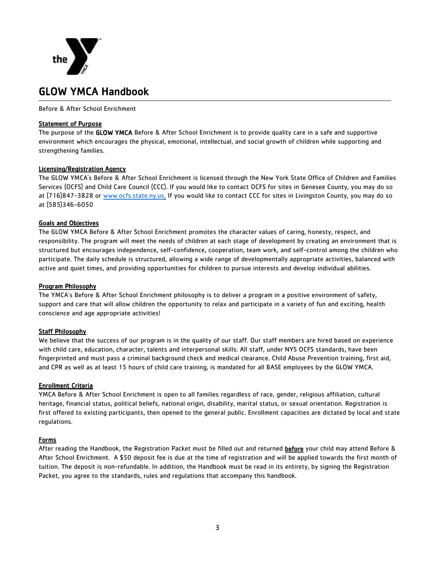

### GLOW YMCA Handbook

Before & After School Enrichment

#### Statement of Purpose

The purpose of the GLOW YMCA Before & After School Enrichment is to provide quality care in a safe and supportive environment which encourages the physical, emotional, intellectual, and social growth of children while supporting and strengthening families.

#### Licensing/Registration Agency

The GLOW YMCA's Before & After School Enrichment is licensed through the New York State Office of Children and Families Services (OCFS) and Child Care Council (CCC). If you would like to contact OCFS for sites in Genesee County, you may do so at (716)847-3828 or [www.ocfs.state.ny.us.](http://www.ocfs.state.ny.us/) If you would like to contact CCC for sites in Livingston County, you may do so at (585)346-6050

#### Goals and Objectives

The GLOW YMCA Before & After School Enrichment promotes the character values of caring, honesty, respect, and responsibility. The program will meet the needs of children at each stage of development by creating an environment that is structured but encourages independence, self-confidence, cooperation, team work, and self-control among the children who participate. The daily schedule is structured, allowing a wide range of developmentally appropriate activities, balanced with active and quiet times, and providing opportunities for children to pursue interests and develop individual abilities.

#### Program Philosophy

The YMCA's Before & After School Enrichment philosophy is to deliver a program in a positive environment of safety, support and care that will allow children the opportunity to relax and participate in a variety of fun and exciting, health conscience and age appropriate activities!

#### **Staff Philosophy**

We believe that the success of our program is in the quality of our staff. Our staff members are hired based on experience with child care, education, character, talents and interpersonal skills. All staff, under NYS OCFS standards, have been fingerprinted and must pass a criminal background check and medical clearance. Child Abuse Prevention training, first aid, and CPR as well as at least 15 hours of child care training, is mandated for all BASE employees by the GLOW YMCA.

#### Enrollment Criteria

YMCA Before & After School Enrichment is open to all families regardless of race, gender, religious affiliation, cultural heritage, financial status, political beliefs, national origin, disability, marital status, or sexual orientation. Registration is first offered to existing participants, then opened to the general public. Enrollment capacities are dictated by local and state regulations.

#### Forms

After reading the Handbook, the Registration Packet must be filled out and returned before your child may attend Before & After School Enrichment. A \$50 deposit fee is due at the time of registration and will be applied towards the first month of tuition. The deposit is non-refundable. In addition, the Handbook must be read in its entirety, by signing the Registration Packet, you agree to the standards, rules and regulations that accompany this handbook.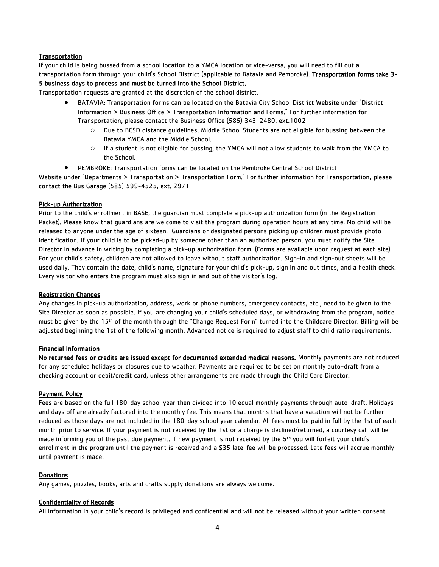#### **Transportation**

If your child is being bussed from a school location to a YMCA location or vice-versa, you will need to fill out a transportation form through your child's School District (applicable to Batavia and Pembroke). Transportation forms take 3-

#### 5 business days to process and must be turned into the School District.

Transportation requests are granted at the discretion of the school district.

- BATAVIA: Transportation forms can be located on the Batavia City School District Website under "District Information > Business Office > Transportation Information and Forms." For further information for Transportation, please contact the Business Office (585) 343-2480, ext.1002
	- o Due to BCSD distance guidelines, Middle School Students are not eligible for bussing between the Batavia YMCA and the Middle School.
	- o If a student is not eligible for bussing, the YMCA will not allow students to walk from the YMCA to the School.
- PEMBROKE: Transportation forms can be located on the Pembroke Central School District

Website under "Departments > Transportation > Transportation Form." For further information for Transportation, please contact the Bus Garage (585) 599-4525, ext. 2971

#### Pick-up Authorization

Prior to the child's enrollment in BASE, the guardian must complete a pick-up authorization form (in the Registration Packet). Please know that guardians are welcome to visit the program during operation hours at any time. No child will be released to anyone under the age of sixteen. Guardians or designated persons picking up children must provide photo identification. If your child is to be picked-up by someone other than an authorized person, you must notify the Site Director in advance in writing by completing a pick-up authorization form. (Forms are available upon request at each site). For your child's safety, children are not allowed to leave without staff authorization. Sign-in and sign-out sheets will be used daily. They contain the date, child's name, signature for your child's pick-up, sign in and out times, and a health check. Every visitor who enters the program must also sign in and out of the visitor's log.

#### Registration Changes

Any changes in pick-up authorization, address, work or phone numbers, emergency contacts, etc., need to be given to the Site Director as soon as possible. If you are changing your child's scheduled days, or withdrawing from the program, notice must be given by the 15th of the month through the "Change Request Form" turned into the Childcare Director. Billing will be adjusted beginning the 1st of the following month. Advanced notice is required to adjust staff to child ratio requirements.

#### Financial Information

No returned fees or credits are issued except for documented extended medical reasons. Monthly payments are not reduced for any scheduled holidays or closures due to weather. Payments are required to be set on monthly auto-draft from a checking account or debit/credit card, unless other arrangements are made through the Child Care Director.

#### Payment Policy

Fees are based on the full 180-day school year then divided into 10 equal monthly payments through auto-draft. Holidays and days off are already factored into the monthly fee. This means that months that have a vacation will not be further reduced as those days are not included in the 180-day school year calendar. All fees must be paid in full by the 1st of each month prior to service. If your payment is not received by the 1st or a charge is declined/returned, a courtesy call will be made informing you of the past due payment. If new payment is not received by the 5<sup>th</sup> you will forfeit your child's enrollment in the program until the payment is received and a \$35 late-fee will be processed. Late fees will accrue monthly until payment is made.

#### **Donations**

Any games, puzzles, books, arts and crafts supply donations are always welcome.

#### Confidentiality of Records

All information in your child's record is privileged and confidential and will not be released without your written consent.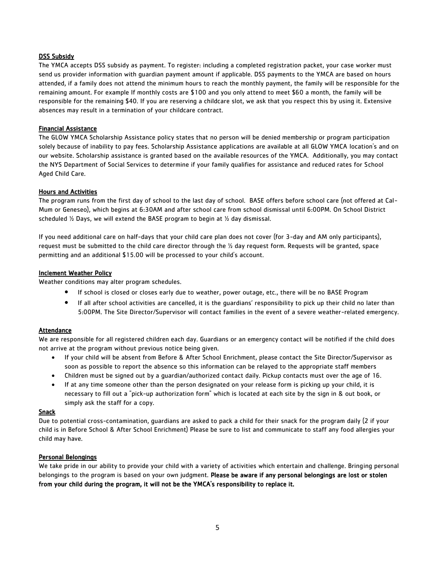#### DSS Subsidy

The YMCA accepts DSS subsidy as payment. To register: including a completed registration packet, your case worker must send us provider information with guardian payment amount if applicable. DSS payments to the YMCA are based on hours attended, if a family does not attend the minimum hours to reach the monthly payment, the family will be responsible for the remaining amount. For example If monthly costs are \$100 and you only attend to meet \$60 a month, the family will be responsible for the remaining \$40. If you are reserving a childcare slot, we ask that you respect this by using it. Extensive absences may result in a termination of your childcare contract.

#### Financial Assistance

The GLOW YMCA Scholarship Assistance policy states that no person will be denied membership or program participation solely because of inability to pay fees. Scholarship Assistance applications are available at all GLOW YMCA location's and on our website. Scholarship assistance is granted based on the available resources of the YMCA. Additionally, you may contact the NYS Department of Social Services to determine if your family qualifies for assistance and reduced rates for School Aged Child Care.

#### Hours and Activities

The program runs from the first day of school to the last day of school. BASE offers before school care (not offered at Cal-Mum or Geneseo), which begins at 6:30AM and after school care from school dismissal until 6:00PM. On School District scheduled  $\frac{1}{2}$  Days, we will extend the BASE program to begin at  $\frac{1}{2}$  day dismissal.

If you need additional care on half-days that your child care plan does not cover (for 3-day and AM only participants), request must be submitted to the child care director through the  $\frac{1}{2}$  day request form. Requests will be granted, space permitting and an additional \$15.00 will be processed to your child's account.

#### Inclement Weather Policy

Weather conditions may alter program schedules.

- If school is closed or closes early due to weather, power outage, etc., there will be no BASE Program
- If all after school activities are cancelled, it is the guardians' responsibility to pick up their child no later than 5:00PM. The Site Director/Supervisor will contact families in the event of a severe weather-related emergency.

#### **Attendance**

We are responsible for all registered children each day. Guardians or an emergency contact will be notified if the child does not arrive at the program without previous notice being given.

- If your child will be absent from Before & After School Enrichment, please contact the Site Director/Supervisor as soon as possible to report the absence so this information can be relayed to the appropriate staff members
- Children must be signed out by a guardian/authorized contact daily. Pickup contacts must over the age of 16.
- If at any time someone other than the person designated on your release form is picking up your child, it is necessary to fill out a "pick-up authorization form" which is located at each site by the sign in & out book, or simply ask the staff for a copy.

#### Snack

Due to potential cross-contamination, guardians are asked to pack a child for their snack for the program daily (2 if your child is in Before School & After School Enrichment) Please be sure to list and communicate to staff any food allergies your child may have.

#### Personal Belongings

We take pride in our ability to provide your child with a variety of activities which entertain and challenge. Bringing personal belongings to the program is based on your own judgment. Please be aware if any personal belongings are lost or stolen from your child during the program, it will not be the YMCA's responsibility to replace it.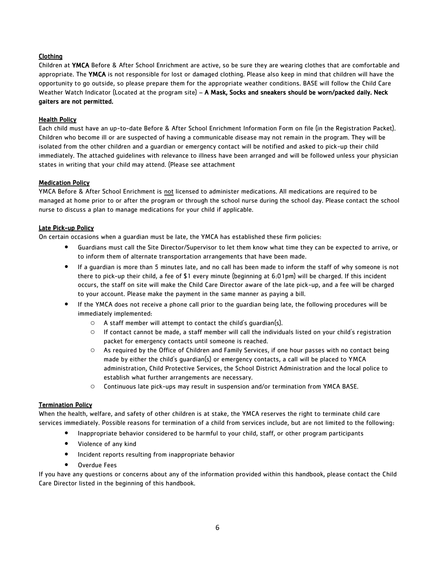#### Clothing

Children at YMCA Before & After School Enrichment are active, so be sure they are wearing clothes that are comfortable and appropriate. The YMCA is not responsible for lost or damaged clothing. Please also keep in mind that children will have the opportunity to go outside, so please prepare them for the appropriate weather conditions. BASE will follow the Child Care Weather Watch Indicator (Located at the program site) – A Mask, Socks and sneakers should be worn/packed daily. Neck gaiters are not permitted.

#### Health Policy

Each child must have an up-to-date Before & After School Enrichment Information Form on file (in the Registration Packet). Children who become ill or are suspected of having a communicable disease may not remain in the program. They will be isolated from the other children and a guardian or emergency contact will be notified and asked to pick-up their child immediately. The attached guidelines with relevance to illness have been arranged and will be followed unless your physician states in writing that your child may attend. (Please see attachment

#### Medication Policy

YMCA Before & After School Enrichment is not licensed to administer medications. All medications are required to be managed at home prior to or after the program or through the school nurse during the school day. Please contact the school nurse to discuss a plan to manage medications for your child if applicable.

#### Late Pick-up Policy

On certain occasions when a guardian must be late, the YMCA has established these firm policies:

- Guardians must call the Site Director/Supervisor to let them know what time they can be expected to arrive, or to inform them of alternate transportation arrangements that have been made.
- If a guardian is more than 5 minutes late, and no call has been made to inform the staff of why someone is not there to pick-up their child, a fee of \$1 every minute (beginning at 6:01pm) will be charged. If this incident occurs, the staff on site will make the Child Care Director aware of the late pick-up, and a fee will be charged to your account. Please make the payment in the same manner as paying a bill.
- If the YMCA does not receive a phone call prior to the guardian being late, the following procedures will be immediately implemented:
	- $\circ$  A staff member will attempt to contact the child's guardian(s).
	- $\circ$  If contact cannot be made, a staff member will call the individuals listed on your child's registration packet for emergency contacts until someone is reached.
	- o As required by the Office of Children and Family Services, if one hour passes with no contact being made by either the child's guardian(s) or emergency contacts, a call will be placed to YMCA administration, Child Protective Services, the School District Administration and the local police to establish what further arrangements are necessary.
	- o Continuous late pick-ups may result in suspension and/or termination from YMCA BASE.

#### Termination Policy

When the health, welfare, and safety of other children is at stake, the YMCA reserves the right to terminate child care services immediately. Possible reasons for termination of a child from services include, but are not limited to the following:

- Inappropriate behavior considered to be harmful to your child, staff, or other program participants
- Violence of any kind
- **•** Incident reports resulting from inappropriate behavior
- Overdue Fees

If you have any questions or concerns about any of the information provided within this handbook, please contact the Child Care Director listed in the beginning of this handbook.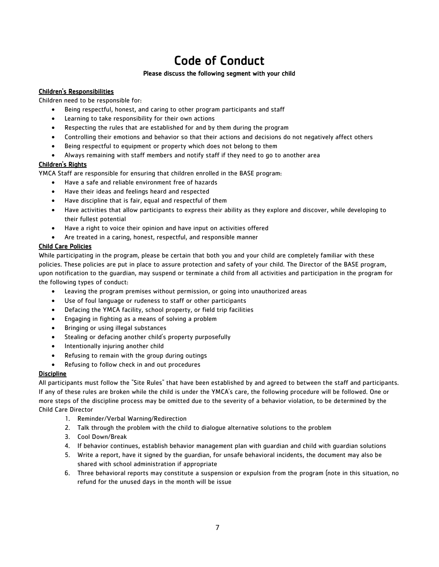## Code of Conduct

#### Please discuss the following segment with your child

#### Children's Responsibilities

Children need to be responsible for:

- Being respectful, honest, and caring to other program participants and staff
- Learning to take responsibility for their own actions
- Respecting the rules that are established for and by them during the program
- Controlling their emotions and behavior so that their actions and decisions do not negatively affect others
- Being respectful to equipment or property which does not belong to them
- Always remaining with staff members and notify staff if they need to go to another area

#### Children's Rights

YMCA Staff are responsible for ensuring that children enrolled in the BASE program:

- Have a safe and reliable environment free of hazards
- Have their ideas and feelings heard and respected
- Have discipline that is fair, equal and respectful of them
- Have activities that allow participants to express their ability as they explore and discover, while developing to their fullest potential
- Have a right to voice their opinion and have input on activities offered
- Are treated in a caring, honest, respectful, and responsible manner

#### Child Care Policies

While participating in the program, please be certain that both you and your child are completely familiar with these policies. These policies are put in place to assure protection and safety of your child. The Director of the BASE program, upon notification to the guardian, may suspend or terminate a child from all activities and participation in the program for the following types of conduct:

- Leaving the program premises without permission, or going into unauthorized areas
- Use of foul language or rudeness to staff or other participants
- Defacing the YMCA facility, school property, or field trip facilities
- Engaging in fighting as a means of solving a problem
- Bringing or using illegal substances
- Stealing or defacing another child's property purposefully
- Intentionally injuring another child
- Refusing to remain with the group during outings
- Refusing to follow check in and out procedures

#### **Discipline**

All participants must follow the "Site Rules" that have been established by and agreed to between the staff and participants. If any of these rules are broken while the child is under the YMCA's care, the following procedure will be followed. One or more steps of the discipline process may be omitted due to the severity of a behavior violation, to be determined by the Child Care Director

- 1. Reminder/Verbal Warning/Redirection
- 2. Talk through the problem with the child to dialogue alternative solutions to the problem
- 3. Cool Down/Break
- 4. If behavior continues, establish behavior management plan with guardian and child with guardian solutions
- 5. Write a report, have it signed by the guardian, for unsafe behavioral incidents, the document may also be shared with school administration if appropriate
- 6. Three behavioral reports may constitute a suspension or expulsion from the program (note in this situation, no refund for the unused days in the month will be issue